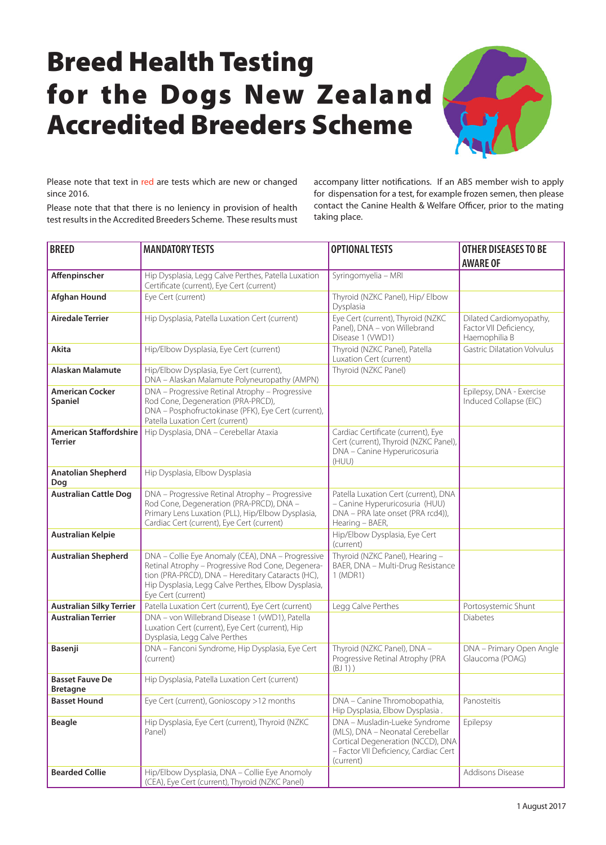## Breed Health Testing for the Dogs New Zealand Accredited Breeders Scheme



Please note that text in red are tests which are new or changed since 2016.

Please note that that there is no leniency in provision of health test results in the Accredited Breeders Scheme. These results must accompany litter notifications. If an ABS member wish to apply for dispensation for a test, for example frozen semen, then please contact the Canine Health & Welfare Officer, prior to the mating taking place.

| <b>BREED</b>                                    | <b>MANDATORY TESTS</b>                                                                                                                                                                                                                   | <b>OPTIONAL TESTS</b>                                                                                                                                        | <b>OTHER DISEASES TO BE</b><br><b>AWARE OF</b>                     |
|-------------------------------------------------|------------------------------------------------------------------------------------------------------------------------------------------------------------------------------------------------------------------------------------------|--------------------------------------------------------------------------------------------------------------------------------------------------------------|--------------------------------------------------------------------|
| Affenpinscher                                   | Hip Dysplasia, Legg Calve Perthes, Patella Luxation<br>Certificate (current), Eye Cert (current)                                                                                                                                         | Syringomyelia - MRI                                                                                                                                          |                                                                    |
| <b>Afghan Hound</b>                             | Eye Cert (current)                                                                                                                                                                                                                       | Thyroid (NZKC Panel), Hip/ Elbow<br>Dysplasia                                                                                                                |                                                                    |
| <b>Airedale Terrier</b>                         | Hip Dysplasia, Patella Luxation Cert (current)                                                                                                                                                                                           | Eye Cert (current), Thyroid (NZKC<br>Panel), DNA - von Willebrand<br>Disease 1 (VWD1)                                                                        | Dilated Cardiomyopathy,<br>Factor VII Deficiency,<br>Haemophilia B |
| <b>Akita</b>                                    | Hip/Elbow Dysplasia, Eye Cert (current)                                                                                                                                                                                                  | Thyroid (NZKC Panel), Patella<br>Luxation Cert (current)                                                                                                     | <b>Gastric Dilatation Volvulus</b>                                 |
| <b>Alaskan Malamute</b>                         | Hip/Elbow Dysplasia, Eye Cert (current),<br>DNA - Alaskan Malamute Polyneuropathy (AMPN)                                                                                                                                                 | Thyroid (NZKC Panel)                                                                                                                                         |                                                                    |
| <b>American Cocker</b><br>Spaniel               | DNA - Progressive Retinal Atrophy - Progressive<br>Rod Cone, Degeneration (PRA-PRCD),<br>DNA - Posphofructokinase (PFK), Eye Cert (current),<br>Patella Luxation Cert (current)                                                          |                                                                                                                                                              | Epilepsy, DNA - Exercise<br>Induced Collapse (EIC)                 |
| <b>American Staffordshire</b><br><b>Terrier</b> | Hip Dysplasia, DNA - Cerebellar Ataxia                                                                                                                                                                                                   | Cardiac Certificate (current), Eye<br>Cert (current), Thyroid (NZKC Panel),<br>DNA - Canine Hyperuricosuria<br>(HUU)                                         |                                                                    |
| <b>Anatolian Shepherd</b><br>Dog                | Hip Dysplasia, Elbow Dysplasia                                                                                                                                                                                                           |                                                                                                                                                              |                                                                    |
| <b>Australian Cattle Dog</b>                    | DNA - Progressive Retinal Atrophy - Progressive<br>Rod Cone, Degeneration (PRA-PRCD), DNA -<br>Primary Lens Luxation (PLL), Hip/Elbow Dysplasia,<br>Cardiac Cert (current), Eye Cert (current)                                           | Patella Luxation Cert (current), DNA<br>- Canine Hyperuricosuria (HUU)<br>DNA - PRA late onset (PRA rcd4)),<br>Hearing - BAER,                               |                                                                    |
| <b>Australian Kelpie</b>                        |                                                                                                                                                                                                                                          | Hip/Elbow Dysplasia, Eye Cert<br>(current)                                                                                                                   |                                                                    |
| <b>Australian Shepherd</b>                      | DNA - Collie Eye Anomaly (CEA), DNA - Progressive<br>Retinal Atrophy - Progressive Rod Cone, Degenera-<br>tion (PRA-PRCD), DNA - Hereditary Cataracts (HC),<br>Hip Dysplasia, Legg Calve Perthes, Elbow Dysplasia,<br>Eye Cert (current) | Thyroid (NZKC Panel), Hearing -<br>BAER, DNA - Multi-Drug Resistance<br>1 (MDR1)                                                                             |                                                                    |
| <b>Australian Silky Terrier</b>                 | Patella Luxation Cert (current), Eye Cert (current)                                                                                                                                                                                      | Legg Calve Perthes                                                                                                                                           | Portosystemic Shunt                                                |
| <b>Australian Terrier</b>                       | DNA - von Willebrand Disease 1 (vWD1), Patella<br>Luxation Cert (current), Eye Cert (current), Hip<br>Dysplasia, Legg Calve Perthes                                                                                                      |                                                                                                                                                              | <b>Diabetes</b>                                                    |
| Basenji                                         | DNA - Fanconi Syndrome, Hip Dysplasia, Eye Cert<br>(current)                                                                                                                                                                             | Thyroid (NZKC Panel), DNA -<br>Progressive Retinal Atrophy (PRA<br>(BJ1))                                                                                    | DNA - Primary Open Angle<br>Glaucoma (POAG)                        |
| <b>Basset Fauve De</b><br><b>Bretagne</b>       | Hip Dysplasia, Patella Luxation Cert (current)                                                                                                                                                                                           |                                                                                                                                                              |                                                                    |
| <b>Basset Hound</b>                             | Eye Cert (current), Gonioscopy >12 months                                                                                                                                                                                                | DNA - Canine Thromobopathia,<br>Hip Dysplasia, Elbow Dysplasia.                                                                                              | Panosteitis                                                        |
| <b>Beagle</b>                                   | Hip Dysplasia, Eye Cert (current), Thyroid (NZKC<br>Panel)                                                                                                                                                                               | DNA - Musladin-Lueke Syndrome<br>(MLS), DNA - Neonatal Cerebellar<br>Cortical Degeneration (NCCD), DNA<br>- Factor VII Deficiency, Cardiac Cert<br>(current) | Epilepsy                                                           |
| <b>Bearded Collie</b>                           | Hip/Elbow Dysplasia, DNA - Collie Eye Anomoly<br>(CEA), Eye Cert (current), Thyroid (NZKC Panel)                                                                                                                                         |                                                                                                                                                              | Addisons Disease                                                   |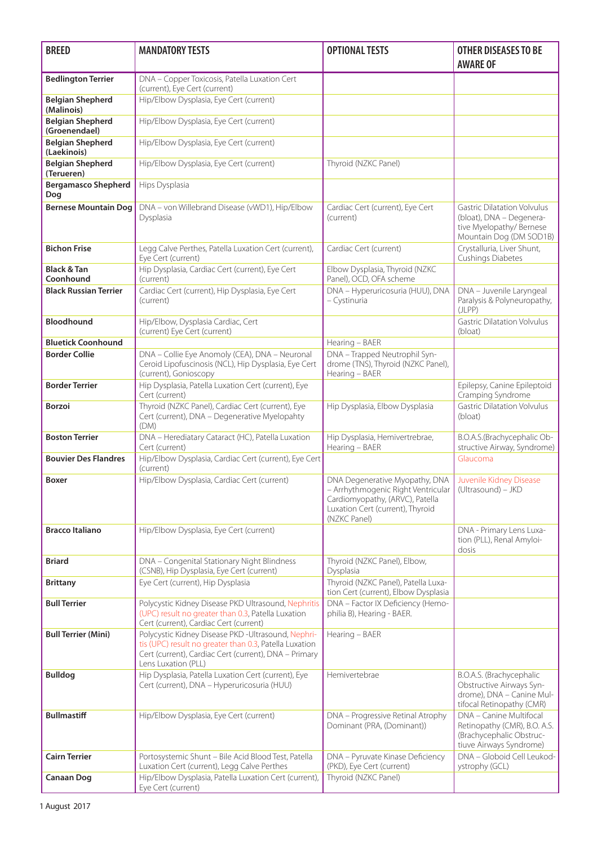| <b>BREED</b>                             | <b>MANDATORY TESTS</b>                                                                                                                                                                       | <b>OPTIONAL TESTS</b>                                                                                                                                       | <b>OTHER DISEASES TO BE</b><br><b>AWARE OF</b>                                                                        |
|------------------------------------------|----------------------------------------------------------------------------------------------------------------------------------------------------------------------------------------------|-------------------------------------------------------------------------------------------------------------------------------------------------------------|-----------------------------------------------------------------------------------------------------------------------|
| <b>Bedlington Terrier</b>                | DNA - Copper Toxicosis, Patella Luxation Cert<br>(current), Eye Cert (current)                                                                                                               |                                                                                                                                                             |                                                                                                                       |
| <b>Belgian Shepherd</b><br>(Malinois)    | Hip/Elbow Dysplasia, Eye Cert (current)                                                                                                                                                      |                                                                                                                                                             |                                                                                                                       |
| <b>Belgian Shepherd</b><br>(Groenendael) | Hip/Elbow Dysplasia, Eye Cert (current)                                                                                                                                                      |                                                                                                                                                             |                                                                                                                       |
| <b>Belgian Shepherd</b><br>(Laekinois)   | Hip/Elbow Dysplasia, Eye Cert (current)                                                                                                                                                      |                                                                                                                                                             |                                                                                                                       |
| <b>Belgian Shepherd</b><br>(Terueren)    | Hip/Elbow Dysplasia, Eye Cert (current)                                                                                                                                                      | Thyroid (NZKC Panel)                                                                                                                                        |                                                                                                                       |
| <b>Bergamasco Shepherd</b><br>Dog        | Hips Dysplasia                                                                                                                                                                               |                                                                                                                                                             |                                                                                                                       |
| <b>Bernese Mountain Dog</b>              | DNA - von Willebrand Disease (vWD1), Hip/Elbow<br>Dysplasia                                                                                                                                  | Cardiac Cert (current), Eye Cert<br>(current)                                                                                                               | <b>Gastric Dilatation Volvulus</b><br>(bloat), DNA - Degenera-<br>tive Myelopathy/ Bernese<br>Mountain Dog (DM SOD1B) |
| <b>Bichon Frise</b>                      | Legg Calve Perthes, Patella Luxation Cert (current),<br>Eye Cert (current)                                                                                                                   | Cardiac Cert (current)                                                                                                                                      | Crystalluria, Liver Shunt,<br><b>Cushings Diabetes</b>                                                                |
| <b>Black &amp; Tan</b><br>Coonhound      | Hip Dysplasia, Cardiac Cert (current), Eye Cert<br>(current)                                                                                                                                 | Elbow Dysplasia, Thyroid (NZKC<br>Panel), OCD, OFA scheme                                                                                                   |                                                                                                                       |
| <b>Black Russian Terrier</b>             | Cardiac Cert (current), Hip Dysplasia, Eye Cert<br>(current)                                                                                                                                 | DNA - Hyperuricosuria (HUU), DNA<br>- Cystinuria                                                                                                            | DNA - Juvenile Laryngeal<br>Paralysis & Polyneuropathy,<br>(JLPP)                                                     |
| Bloodhound                               | Hip/Elbow, Dysplasia Cardiac, Cert<br>(current) Eye Cert (current)                                                                                                                           |                                                                                                                                                             | <b>Gastric Dilatation Volvulus</b><br>(bloat)                                                                         |
| <b>Bluetick Coonhound</b>                |                                                                                                                                                                                              | Hearing - BAER                                                                                                                                              |                                                                                                                       |
| <b>Border Collie</b>                     | DNA - Collie Eye Anomoly (CEA), DNA - Neuronal<br>Ceroid Lipofuscinosis (NCL), Hip Dysplasia, Eye Cert<br>(current), Gonioscopy                                                              | DNA - Trapped Neutrophil Syn-<br>drome (TNS), Thyroid (NZKC Panel),<br>Hearing - BAER                                                                       |                                                                                                                       |
| <b>Border Terrier</b>                    | Hip Dysplasia, Patella Luxation Cert (current), Eye<br>Cert (current)                                                                                                                        |                                                                                                                                                             | Epilepsy, Canine Epileptoid<br>Cramping Syndrome                                                                      |
| <b>Borzoi</b>                            | Thyroid (NZKC Panel), Cardiac Cert (current), Eye<br>Cert (current), DNA - Degenerative Myelopahty<br>(DM)                                                                                   | Hip Dysplasia, Elbow Dysplasia                                                                                                                              | <b>Gastric Dilatation Volvulus</b><br>(bloat)                                                                         |
| <b>Boston Terrier</b>                    | DNA - Herediatary Cataract (HC), Patella Luxation<br>Cert (current)                                                                                                                          | Hip Dysplasia, Hemivertrebrae,<br>Hearing - BAER                                                                                                            | B.O.A.S.(Brachycephalic Ob-<br>structive Airway, Syndrome)                                                            |
| <b>Bouvier Des Flandres</b>              | Hip/Elbow Dysplasia, Cardiac Cert (current), Eye Cert<br>(current)                                                                                                                           |                                                                                                                                                             | Glaucoma                                                                                                              |
| Boxer                                    | Hip/Elbow Dysplasia, Cardiac Cert (current)                                                                                                                                                  | DNA Degenerative Myopathy, DNA<br>- Arrhythmogenic Right Ventricular<br>Cardiomyopathy, (ARVC), Patella<br>Luxation Cert (current), Thyroid<br>(NZKC Panel) | Juvenile Kidney Disease<br>(Ultrasound) - JKD                                                                         |
| <b>Bracco Italiano</b>                   | Hip/Elbow Dysplasia, Eye Cert (current)                                                                                                                                                      |                                                                                                                                                             | DNA - Primary Lens Luxa-<br>tion (PLL), Renal Amyloi-<br>dosis                                                        |
| <b>Briard</b>                            | DNA - Congenital Stationary Night Blindness<br>(CSNB), Hip Dysplasia, Eye Cert (current)                                                                                                     | Thyroid (NZKC Panel), Elbow,<br>Dysplasia                                                                                                                   |                                                                                                                       |
| <b>Brittany</b>                          | Eye Cert (current), Hip Dysplasia                                                                                                                                                            | Thyroid (NZKC Panel), Patella Luxa-<br>tion Cert (current), Elbow Dysplasia                                                                                 |                                                                                                                       |
| <b>Bull Terrier</b>                      | Polycystic Kidney Disease PKD Ultrasound, Nephritis<br>(UPC) result no greater than 0.3, Patella Luxation<br>Cert (current), Cardiac Cert (current)                                          | DNA - Factor IX Deficiency (Hemo-<br>philia B), Hearing - BAER.                                                                                             |                                                                                                                       |
| <b>Bull Terrier (Mini)</b>               | Polycystic Kidney Disease PKD -Ultrasound, Nephri-<br>tis (UPC) result no greater than 0.3, Patella Luxation<br>Cert (current), Cardiac Cert (current), DNA - Primary<br>Lens Luxation (PLL) | Hearing - BAER                                                                                                                                              |                                                                                                                       |
| <b>Bulldog</b>                           | Hip Dysplasia, Patella Luxation Cert (current), Eye<br>Cert (current), DNA - Hyperuricosuria (HUU)                                                                                           | Hemivertebrae                                                                                                                                               | B.O.A.S. (Brachycephalic<br>Obstructive Airways Syn-<br>drome), DNA - Canine Mul-<br>tifocal Retinopathy (CMR)        |
| <b>Bullmastiff</b>                       | Hip/Elbow Dysplasia, Eye Cert (current)                                                                                                                                                      | DNA - Progressive Retinal Atrophy<br>Dominant (PRA, (Dominant))                                                                                             | DNA - Canine Multifocal<br>Retinopathy (CMR), B.O. A.S.<br>(Brachycephalic Obstruc-<br>tiuve Airways Syndrome)        |
| <b>Cairn Terrier</b>                     | Portosystemic Shunt - Bile Acid Blood Test, Patella<br>Luxation Cert (current), Legg Calve Perthes                                                                                           | DNA - Pyruvate Kinase Deficiency<br>(PKD), Eye Cert (current)                                                                                               | DNA - Globoid Cell Leukod-<br>ystrophy (GCL)                                                                          |
| <b>Canaan Dog</b>                        | Hip/Elbow Dysplasia, Patella Luxation Cert (current),<br>Eye Cert (current)                                                                                                                  | Thyroid (NZKC Panel)                                                                                                                                        |                                                                                                                       |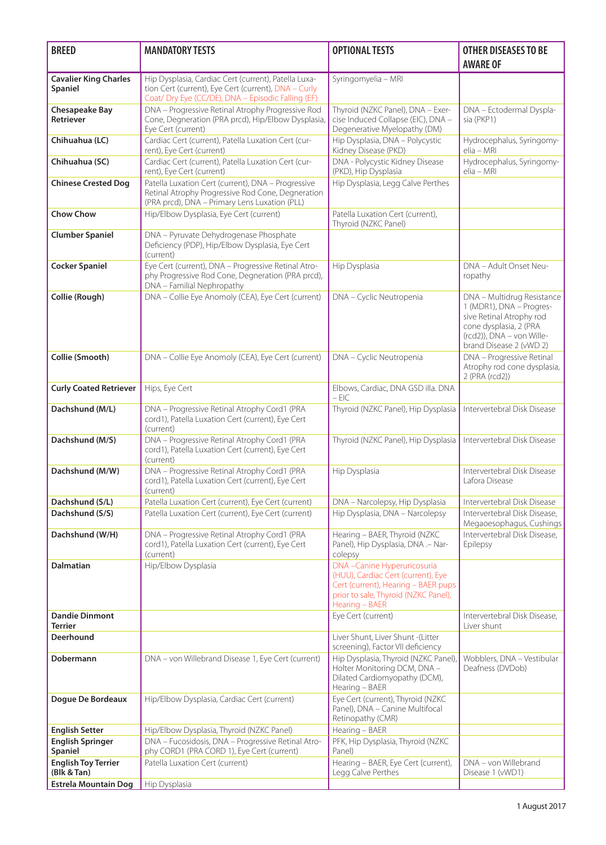| <b>BREED</b>                                     | <b>MANDATORY TESTS</b>                                                                                                                                             | <b>OPTIONAL TESTS</b>                                                                                                                                             | <b>OTHER DISEASES TO BE</b><br><b>AWARE OF</b>                                                                                                                                                                                                     |
|--------------------------------------------------|--------------------------------------------------------------------------------------------------------------------------------------------------------------------|-------------------------------------------------------------------------------------------------------------------------------------------------------------------|----------------------------------------------------------------------------------------------------------------------------------------------------------------------------------------------------------------------------------------------------|
| <b>Cavalier King Charles</b><br>Spaniel          | Hip Dysplasia, Cardiac Cert (current), Patella Luxa-<br>tion Cert (current), Eye Cert (current), DNA - Curly<br>Coat/ Dry Eye (CC/DE), DNA - Episodic Falling (EF) | Syringomyelia - MRI                                                                                                                                               |                                                                                                                                                                                                                                                    |
| <b>Chesapeake Bay</b><br><b>Retriever</b>        | DNA - Progressive Retinal Atrophy Progressive Rod<br>Cone, Degneration (PRA prcd), Hip/Elbow Dysplasia,<br>Eye Cert (current)                                      | Thyroid (NZKC Panel), DNA - Exer-<br>cise Induced Collapse (EIC), DNA -<br>Degenerative Myelopathy (DM)                                                           | DNA - Ectodermal Dyspla-<br>sia (PKP1)                                                                                                                                                                                                             |
| Chihuahua (LC)                                   | Cardiac Cert (current), Patella Luxation Cert (cur-<br>rent), Eye Cert (current)                                                                                   | Hip Dysplasia, DNA - Polycystic<br>Kidney Disease (PKD)                                                                                                           | Hydrocephalus, Syringomy-<br>elia - MRI                                                                                                                                                                                                            |
| Chihuahua (SC)                                   | Cardiac Cert (current), Patella Luxation Cert (cur-<br>rent), Eye Cert (current)                                                                                   | DNA - Polycystic Kidney Disease<br>(PKD), Hip Dysplasia                                                                                                           | Hydrocephalus, Syringomy-<br>elia - MRI                                                                                                                                                                                                            |
| <b>Chinese Crested Dog</b>                       | Patella Luxation Cert (current), DNA - Progressive<br>Retinal Atrophy Progressive Rod Cone, Degneration<br>(PRA prcd), DNA - Primary Lens Luxation (PLL)           | Hip Dysplasia, Legg Calve Perthes                                                                                                                                 |                                                                                                                                                                                                                                                    |
| <b>Chow Chow</b>                                 | Hip/Elbow Dysplasia, Eye Cert (current)                                                                                                                            | Patella Luxation Cert (current),<br>Thyroid (NZKC Panel)                                                                                                          |                                                                                                                                                                                                                                                    |
| <b>Clumber Spaniel</b>                           | DNA - Pyruvate Dehydrogenase Phosphate<br>Deficiency (PDP), Hip/Elbow Dysplasia, Eye Cert<br>(current)                                                             |                                                                                                                                                                   |                                                                                                                                                                                                                                                    |
| <b>Cocker Spaniel</b>                            | Eye Cert (current), DNA - Progressive Retinal Atro-<br>phy Progressive Rod Cone, Degneration (PRA prcd),<br>DNA - Familial Nephropathy                             | Hip Dysplasia                                                                                                                                                     | DNA - Adult Onset Neu-<br>ropathy                                                                                                                                                                                                                  |
| Collie (Rough)<br>Collie (Smooth)                | DNA - Collie Eye Anomoly (CEA), Eye Cert (current)<br>DNA - Collie Eye Anomoly (CEA), Eye Cert (current)                                                           | DNA - Cyclic Neutropenia<br>DNA - Cyclic Neutropenia                                                                                                              | DNA - Multidrug Resistance<br>1 (MDR1), DNA - Progres-<br>sive Retinal Atrophy rod<br>cone dysplasia, 2 (PRA<br>(rcd2)), DNA - von Wille-<br>brand Disease 2 (vWD 2)<br>DNA - Progressive Retinal<br>Atrophy rod cone dysplasia,<br>2 (PRA (rcd2)) |
| <b>Curly Coated Retriever</b>                    | Hips, Eye Cert                                                                                                                                                     | Elbows, Cardiac, DNA GSD illa. DNA<br>$-$ EIC                                                                                                                     |                                                                                                                                                                                                                                                    |
| Dachshund (M/L)                                  | DNA - Progressive Retinal Atrophy Cord1 (PRA<br>cord1), Patella Luxation Cert (current), Eye Cert<br>(current)                                                     | Thyroid (NZKC Panel), Hip Dysplasia                                                                                                                               | Intervertebral Disk Disease                                                                                                                                                                                                                        |
| Dachshund (M/S)                                  | DNA - Progressive Retinal Atrophy Cord1 (PRA<br>cord1), Patella Luxation Cert (current), Eye Cert<br>(current)                                                     | Thyroid (NZKC Panel), Hip Dysplasia                                                                                                                               | Intervertebral Disk Disease                                                                                                                                                                                                                        |
| Dachshund (M/W)                                  | DNA - Progressive Retinal Atrophy Cord1 (PRA<br>cord1), Patella Luxation Cert (current), Eye Cert<br>(current)                                                     | Hip Dysplasia                                                                                                                                                     | Intervertebral Disk Disease<br>Lafora Disease                                                                                                                                                                                                      |
| Dachshund (S/L)<br>Dachshund (S/S)               | Patella Luxation Cert (current), Eye Cert (current)<br>Patella Luxation Cert (current), Eye Cert (current)                                                         | DNA - Narcolepsy, Hip Dysplasia<br>Hip Dysplasia, DNA - Narcolepsy                                                                                                | Intervertebral Disk Disease<br>Intervertebral Disk Disease.<br>Megaoesophagus, Cushings                                                                                                                                                            |
| Dachshund (W/H)                                  | DNA - Progressive Retinal Atrophy Cord1 (PRA<br>cord1), Patella Luxation Cert (current), Eye Cert<br>(current)                                                     | Hearing - BAER, Thyroid (NZKC<br>Panel), Hip Dysplasia, DNA .- Nar-<br>colepsy                                                                                    | Intervertebral Disk Disease,<br>Epilepsy                                                                                                                                                                                                           |
| <b>Dalmatian</b>                                 | Hip/Elbow Dysplasia                                                                                                                                                | DNA-Canine Hyperuricosuria<br>(HUU), Cardiac Cert (current), Eye<br>Cert (current), Hearing - BAER pups<br>prior to sale, Thyroid (NZKC Panel),<br>Hearing - BAER |                                                                                                                                                                                                                                                    |
| <b>Dandie Dinmont</b><br><b>Terrier</b>          |                                                                                                                                                                    | Eye Cert (current)                                                                                                                                                | Intervertebral Disk Disease,<br>Liver shunt                                                                                                                                                                                                        |
| <b>Deerhound</b>                                 |                                                                                                                                                                    | Liver Shunt, Liver Shunt -(Litter<br>screening), Factor VII deficiency                                                                                            |                                                                                                                                                                                                                                                    |
| Dobermann                                        | DNA - von Willebrand Disease 1, Eye Cert (current)                                                                                                                 | Hip Dysplasia, Thyroid (NZKC Panel),<br>Holter Monitoring DCM, DNA -<br>Dilated Cardiomyopathy (DCM),<br>Hearing - BAER                                           | Wobblers, DNA - Vestibular<br>Deafness (DVDob)                                                                                                                                                                                                     |
| Dogue De Bordeaux                                | Hip/Elbow Dysplasia, Cardiac Cert (current)                                                                                                                        | Eye Cert (current), Thyroid (NZKC<br>Panel), DNA - Canine Multifocal<br>Retinopathy (CMR)                                                                         |                                                                                                                                                                                                                                                    |
| <b>English Setter</b><br><b>English Springer</b> | Hip/Elbow Dysplasia, Thyroid (NZKC Panel)<br>DNA - Fucosidosis, DNA - Progressive Retinal Atro-                                                                    | Hearing - BAER<br>PFK, Hip Dysplasia, Thyroid (NZKC                                                                                                               |                                                                                                                                                                                                                                                    |
| Spaniel<br><b>English Toy Terrier</b>            | phy CORD1 (PRA CORD 1), Eye Cert (current)<br>Patella Luxation Cert (current)                                                                                      | Panel)<br>Hearing - BAER, Eye Cert (current),                                                                                                                     | DNA - von Willebrand                                                                                                                                                                                                                               |
| (Blk & Tan)<br><b>Estrela Mountain Dog</b>       | Hip Dysplasia                                                                                                                                                      | Legg Calve Perthes                                                                                                                                                | Disease 1 (vWD1)                                                                                                                                                                                                                                   |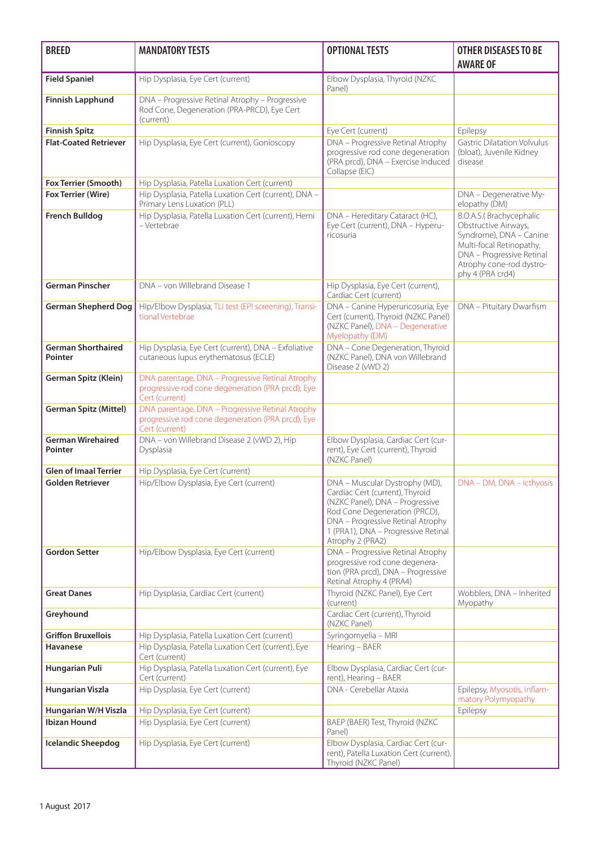| <b>BREED</b>                                | <b>MANDATORY TESTS</b>                                                                                                  | <b>OPTIONAL TESTS</b>                                                                                                                                                                                                                 | <b>OTHER DISEASES TO BE</b><br><b>AWARE OF</b>                                                                                                                                      |
|---------------------------------------------|-------------------------------------------------------------------------------------------------------------------------|---------------------------------------------------------------------------------------------------------------------------------------------------------------------------------------------------------------------------------------|-------------------------------------------------------------------------------------------------------------------------------------------------------------------------------------|
| <b>Field Spaniel</b>                        | Hip Dysplasia, Eye Cert (current)                                                                                       | Elbow Dysplasia, Thyroid (NZKC<br>Panel)                                                                                                                                                                                              |                                                                                                                                                                                     |
| <b>Finnish Lapphund</b>                     | DNA - Progressive Retinal Atrophy - Progressive<br>Rod Cone, Degeneration (PRA-PRCD), Eye Cert<br>(current)             |                                                                                                                                                                                                                                       |                                                                                                                                                                                     |
| <b>Finnish Spitz</b>                        |                                                                                                                         | Eye Cert (current)                                                                                                                                                                                                                    | Epilepsy                                                                                                                                                                            |
| <b>Flat-Coated Retriever</b>                | Hip Dysplasia, Eye Cert (current), Gonioscopy                                                                           | DNA - Progressive Retinal Atrophy<br>progressive rod cone degeneration<br>(PRA prcd), DNA - Exercise Induced<br>Collapse (EIC)                                                                                                        | <b>Gastric Dilatation Volvulus</b><br>(bloat), Juvenile Kidney<br>disease                                                                                                           |
| Fox Terrier (Smooth)                        | Hip Dysplasia, Patella Luxation Cert (current)                                                                          |                                                                                                                                                                                                                                       |                                                                                                                                                                                     |
| Fox Terrier (Wire)                          | Hip Dysplasia, Patella Luxation Cert (current), DNA -<br>Primary Lens Luxation (PLL)                                    |                                                                                                                                                                                                                                       | DNA - Degenerative My-<br>elopathy (DM)                                                                                                                                             |
| <b>French Bulldog</b>                       | Hip Dysplasia, Patella Luxation Cert (current), Hemi<br>– Vertebrae                                                     | DNA - Hereditary Cataract (HC),<br>Eye Cert (current), DNA - Hyperu-<br>ricosuria                                                                                                                                                     | B.O.A.S.(Brachycephalic<br>Obstructive Airways,<br>Syndrome), DNA - Canine<br>Multi-focal Retinopathy,<br>DNA - Progressive Retinal<br>Atrophy cone-rod dystro-<br>phy 4 (PRA crd4) |
| <b>German Pinscher</b>                      | DNA - von Willebrand Disease 1                                                                                          | Hip Dysplasia, Eye Cert (current),<br>Cardiac Cert (current)                                                                                                                                                                          |                                                                                                                                                                                     |
| <b>German Shepherd Dog</b>                  | Hip/Elbow Dysplasia, TLI test (EPI screening), Transi-<br>tional Vertebrae                                              | DNA - Canine Hyperuricosuria, Eye<br>Cert (current), Thyroid (NZKC Panel)<br>(NZKC Panel), DNA - Degenerative<br>Myelopathy (DM)                                                                                                      | DNA - Pituitary Dwarfism                                                                                                                                                            |
| <b>German Shorthaired</b><br><b>Pointer</b> | Hip Dysplasia, Eye Cert (current), DNA - Exfoliative<br>cutaneous lupus erythematosus (ECLE)                            | DNA - Cone Degeneration, Thyroid<br>(NZKC Panel), DNA von Willebrand<br>Disease 2 (vWD 2)                                                                                                                                             |                                                                                                                                                                                     |
| German Spitz (Klein)                        | DNA parentage, DNA - Progressive Retinal Atrophy<br>progressive rod cone degeneration (PRA prcd), Eye<br>Cert (current) |                                                                                                                                                                                                                                       |                                                                                                                                                                                     |
| <b>German Spitz (Mittel)</b>                | DNA parentage, DNA - Progressive Retinal Atrophy<br>progressive rod cone degeneration (PRA prcd), Eye<br>Cert (current) |                                                                                                                                                                                                                                       |                                                                                                                                                                                     |
| <b>German Wirehaired</b><br><b>Pointer</b>  | DNA - von Willebrand Disease 2 (vWD 2), Hip<br>Dysplasia                                                                | Elbow Dysplasia, Cardiac Cert (cur-<br>rent), Eye Cert (current), Thyroid<br>(NZKC Panel)                                                                                                                                             |                                                                                                                                                                                     |
| <b>Glen of Imaal Terrier</b>                | Hip Dysplasia, Eye Cert (current)                                                                                       |                                                                                                                                                                                                                                       |                                                                                                                                                                                     |
| <b>Golden Retriever</b>                     | Hip/Elbow Dysplasia, Eye Cert (current)                                                                                 | DNA - Muscular Dystrophy (MD),<br>Cardiac Cert (current), Thyroid<br>(NZKC Panel), DNA - Progressive<br>Rod Cone Degeneration (PRCD),<br>DNA - Progressive Retinal Atrophy<br>1 (PRA1), DNA - Progressive Retinal<br>Atrophy 2 (PRA2) | DNA - DM, DNA - Icthyosis                                                                                                                                                           |
| <b>Gordon Setter</b>                        | Hip/Elbow Dysplasia, Eye Cert (current)                                                                                 | DNA - Progressive Retinal Atrophy<br>progressive rod cone degenera-<br>tion (PRA prcd), DNA - Progressive<br>Retinal Atrophy 4 (PRA4)                                                                                                 |                                                                                                                                                                                     |
| <b>Great Danes</b>                          | Hip Dysplasia, Cardiac Cert (current)                                                                                   | Thyroid (NZKC Panel), Eye Cert<br>(current)                                                                                                                                                                                           | Wobblers, DNA - Inherited<br>Myopathy                                                                                                                                               |
| Greyhound                                   |                                                                                                                         | Cardiac Cert (current), Thyroid<br>(NZKC Panel)                                                                                                                                                                                       |                                                                                                                                                                                     |
| <b>Griffon Bruxellois</b>                   | Hip Dysplasia, Patella Luxation Cert (current)                                                                          | Syringomyelia - MRI                                                                                                                                                                                                                   |                                                                                                                                                                                     |
| <b>Havanese</b>                             | Hip Dysplasia, Patella Luxation Cert (current), Eye<br>Cert (current)                                                   | Hearing - BAER                                                                                                                                                                                                                        |                                                                                                                                                                                     |
| <b>Hungarian Puli</b>                       | Hip Dysplasia, Patella Luxation Cert (current), Eye<br>Cert (current)                                                   | Elbow Dysplasia, Cardiac Cert (cur-<br>rent), Hearing - BAER                                                                                                                                                                          |                                                                                                                                                                                     |
| Hungarian Viszla                            | Hip Dysplasia, Eye Cert (current)                                                                                       | DNA - Cerebellar Ataxia                                                                                                                                                                                                               | Epilepsy, Myosotis, Inflam-<br>matory Polymyopathy                                                                                                                                  |
| Hungarian W/H Viszla                        | Hip Dysplasia, Eye Cert (current)                                                                                       |                                                                                                                                                                                                                                       | Epilepsy                                                                                                                                                                            |
| <b>Ibizan Hound</b>                         | Hip Dysplasia, Eye Cert (current)                                                                                       | BAEP (BAER) Test, Thyroid (NZKC<br>Panel)                                                                                                                                                                                             |                                                                                                                                                                                     |
| <b>Icelandic Sheepdog</b>                   | Hip Dysplasia, Eye Cert (current)                                                                                       | Elbow Dysplasia, Cardiac Cert (cur-<br>rent), Patella Luxation Cert (current),<br>Thyroid (NZKC Panel)                                                                                                                                |                                                                                                                                                                                     |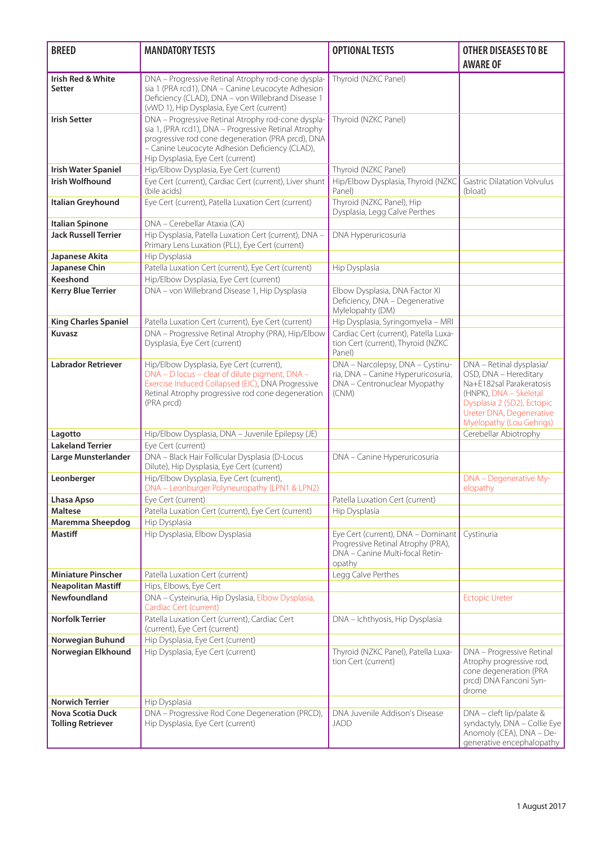| <b>BREED</b>                                                                  | <b>MANDATORY TESTS</b>                                                                                                                                                                                                                                 | <b>OPTIONAL TESTS</b>                                                                                                 | <b>OTHER DISEASES TO BE</b><br><b>AWARE OF</b>                                                                                                                                                |
|-------------------------------------------------------------------------------|--------------------------------------------------------------------------------------------------------------------------------------------------------------------------------------------------------------------------------------------------------|-----------------------------------------------------------------------------------------------------------------------|-----------------------------------------------------------------------------------------------------------------------------------------------------------------------------------------------|
| Irish Red & White<br>Setter                                                   | DNA - Progressive Retinal Atrophy rod-cone dyspla-<br>sia 1 (PRA rcd1), DNA - Canine Leucocyte Adhesion<br>Deficiency (CLAD), DNA - von Willebrand Disease 1<br>(vWD 1), Hip Dysplasia, Eye Cert (current)                                             | Thyroid (NZKC Panel)                                                                                                  |                                                                                                                                                                                               |
| <b>Irish Setter</b>                                                           | DNA - Progressive Retinal Atrophy rod-cone dyspla-<br>sia 1, (PRA rcd1), DNA - Progressive Retinal Atrophy<br>progressive rod cone degeneration (PRA prcd), DNA<br>- Canine Leucocyte Adhesion Deficiency (CLAD),<br>Hip Dysplasia, Eye Cert (current) | Thyroid (NZKC Panel)                                                                                                  |                                                                                                                                                                                               |
| <b>Irish Water Spaniel</b>                                                    | Hip/Elbow Dysplasia, Eye Cert (current)                                                                                                                                                                                                                | Thyroid (NZKC Panel)                                                                                                  |                                                                                                                                                                                               |
| <b>Irish Wolfhound</b>                                                        | Eye Cert (current), Cardiac Cert (current), Liver shunt<br>(bile acids)                                                                                                                                                                                | Hip/Elbow Dysplasia, Thyroid (NZKC<br>Panel)                                                                          | <b>Gastric Dilatation Volvulus</b><br>(bloat)                                                                                                                                                 |
| Italian Greyhound                                                             | Eye Cert (current), Patella Luxation Cert (current)                                                                                                                                                                                                    | Thyroid (NZKC Panel), Hip<br>Dysplasia, Legg Calve Perthes                                                            |                                                                                                                                                                                               |
| <b>Italian Spinone</b>                                                        | DNA - Cerebellar Ataxia (CA)                                                                                                                                                                                                                           |                                                                                                                       |                                                                                                                                                                                               |
| <b>Jack Russell Terrier</b>                                                   | Hip Dysplasia, Patella Luxation Cert (current), DNA -<br>Primary Lens Luxation (PLL), Eye Cert (current)                                                                                                                                               | DNA Hyperuricosuria                                                                                                   |                                                                                                                                                                                               |
| Japanese Akita                                                                | Hip Dysplasia                                                                                                                                                                                                                                          |                                                                                                                       |                                                                                                                                                                                               |
| Japanese Chin                                                                 | Patella Luxation Cert (current), Eye Cert (current)                                                                                                                                                                                                    | Hip Dysplasia                                                                                                         |                                                                                                                                                                                               |
| Keeshond                                                                      | Hip/Elbow Dysplasia, Eye Cert (current)                                                                                                                                                                                                                |                                                                                                                       |                                                                                                                                                                                               |
| <b>Kerry Blue Terrier</b>                                                     | DNA - von Willebrand Disease 1, Hip Dysplasia                                                                                                                                                                                                          | Elbow Dysplasia, DNA Factor XI<br>Deficiency, DNA - Degenerative<br>Mylelopahty (DM)                                  |                                                                                                                                                                                               |
| <b>King Charles Spaniel</b>                                                   | Patella Luxation Cert (current), Eye Cert (current)                                                                                                                                                                                                    | Hip Dysplasia, Syringomyelia - MRI                                                                                    |                                                                                                                                                                                               |
| <b>Kuvasz</b>                                                                 | DNA - Progressive Retinal Atrophy (PRA), Hip/Elbow<br>Dysplasia, Eye Cert (current)                                                                                                                                                                    | Cardiac Cert (current), Patella Luxa-<br>tion Cert (current), Thyroid (NZKC<br>Panel)                                 |                                                                                                                                                                                               |
| <b>Labrador Retriever</b>                                                     | Hip/Elbow Dysplasia, Eye Cert (current),<br>DNA - D locus - clear of dilute pigment, DNA -<br>Exercise Induced Collapsed (EIC), DNA Progressive<br>Retinal Atrophy progressive rod cone degeneration<br>(PRA prcd)                                     | DNA - Narcolepsy, DNA - Cystinu-<br>ria, DNA - Canine Hyperuricosuria,<br>DNA - Centronuclear Myopathy<br>(CNM)       | DNA - Retinal dysplasia/<br>OSD, DNA - Hereditary<br>Na+E182sal Parakeratosis<br>(HNPK), DNA - Skeletal<br>Dysplasia 2 (SD2), Ectopic<br>Ureter DNA, Degenerative<br>Myelopathy (Lou Gehrigs) |
| Lagotto                                                                       | Hip/Elbow Dysplasia, DNA - Juvenile Epilepsy (JE)                                                                                                                                                                                                      |                                                                                                                       | Cerebellar Abiotrophy                                                                                                                                                                         |
| <b>Lakeland Terrier</b>                                                       | Eye Cert (current)                                                                                                                                                                                                                                     |                                                                                                                       |                                                                                                                                                                                               |
| Large Munsterlander                                                           | DNA - Black Hair Follicular Dysplasia (D-Locus<br>Dilute), Hip Dysplasia, Eye Cert (current)                                                                                                                                                           | DNA - Canine Hyperuricosuria                                                                                          |                                                                                                                                                                                               |
| Leonberger                                                                    | Hip/Elbow Dysplasia, Eye Cert (current),<br>DNA - Leonburger Polyneuropathy (LPN1 & LPN2)                                                                                                                                                              |                                                                                                                       | DNA - Degenerative My-<br>elopathy                                                                                                                                                            |
| Lhasa Apso                                                                    | Eye Cert (current)                                                                                                                                                                                                                                     | Patella Luxation Cert (current)                                                                                       |                                                                                                                                                                                               |
| <b>Maltese</b>                                                                | Patella Luxation Cert (current), Eye Cert (current)                                                                                                                                                                                                    | Hip Dysplasia                                                                                                         |                                                                                                                                                                                               |
| <b>Maremma Sheepdog</b><br>Mastiff                                            | Hip Dysplasia<br>Hip Dysplasia, Elbow Dysplasia                                                                                                                                                                                                        | Eye Cert (current), DNA - Dominant<br>Progressive Retinal Atrophy (PRA),<br>DNA - Canine Multi-focal Retin-<br>opathy | Cystinuria                                                                                                                                                                                    |
| <b>Miniature Pinscher</b>                                                     | Patella Luxation Cert (current)                                                                                                                                                                                                                        | Legg Calve Perthes                                                                                                    |                                                                                                                                                                                               |
| <b>Neapolitan Mastiff</b>                                                     | Hips, Elbows, Eye Cert                                                                                                                                                                                                                                 |                                                                                                                       |                                                                                                                                                                                               |
| Newfoundland                                                                  | DNA - Cysteinuria, Hip Dyslasia, Elbow Dysplasia,<br>Cardiac Cert (current)                                                                                                                                                                            |                                                                                                                       | <b>Ectopic Ureter</b>                                                                                                                                                                         |
| <b>Norfolk Terrier</b>                                                        | Patella Luxation Cert (current), Cardiac Cert<br>(current), Eye Cert (current)                                                                                                                                                                         | DNA - Ichthyosis, Hip Dysplasia                                                                                       |                                                                                                                                                                                               |
| Norwegian Buhund                                                              | Hip Dysplasia, Eye Cert (current)                                                                                                                                                                                                                      |                                                                                                                       |                                                                                                                                                                                               |
| Norwegian Elkhound                                                            | Hip Dysplasia, Eye Cert (current)                                                                                                                                                                                                                      | Thyroid (NZKC Panel), Patella Luxa-<br>tion Cert (current)                                                            | DNA - Progressive Retinal<br>Atrophy progressive rod,<br>cone degeneration (PRA<br>prcd) DNA Fanconi Syn-<br>drome                                                                            |
| <b>Norwich Terrier</b><br><b>Nova Scotia Duck</b><br><b>Tolling Retriever</b> | Hip Dysplasia<br>DNA - Progressive Rod Cone Degeneration (PRCD),<br>Hip Dysplasia, Eye Cert (current)                                                                                                                                                  | DNA Juvenile Addison's Disease<br><b>JADD</b>                                                                         | DNA - cleft lip/palate &<br>syndactyly, DNA - Collie Eye<br>Anomoly (CEA), DNA - De-<br>generative encephalopathy                                                                             |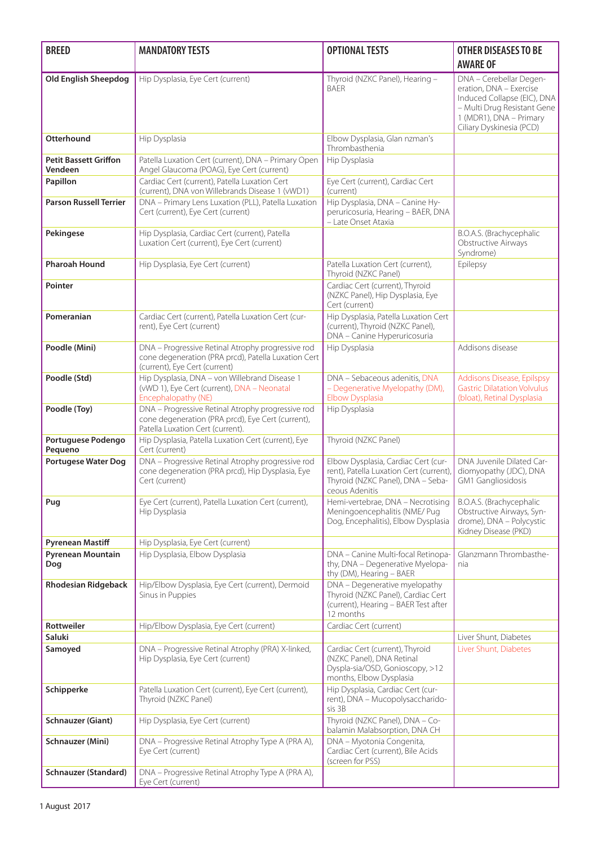| <b>BREED</b>                                        | <b>MANDATORY TESTS</b>                                                                                                                     | <b>OPTIONAL TESTS</b>                                                                                                                 | <b>OTHER DISEASES TO BE</b><br><b>AWARE OF</b>                                                                                                                          |
|-----------------------------------------------------|--------------------------------------------------------------------------------------------------------------------------------------------|---------------------------------------------------------------------------------------------------------------------------------------|-------------------------------------------------------------------------------------------------------------------------------------------------------------------------|
| <b>Old English Sheepdog</b>                         | Hip Dysplasia, Eye Cert (current)                                                                                                          | Thyroid (NZKC Panel), Hearing -<br><b>BAER</b>                                                                                        | DNA - Cerebellar Degen-<br>eration, DNA - Exercise<br>Induced Collapse (EIC), DNA<br>- Multi Drug Resistant Gene<br>1 (MDR1), DNA - Primary<br>Ciliary Dyskinesia (PCD) |
| Otterhound                                          | Hip Dysplasia                                                                                                                              | Elbow Dysplasia, Glan nzman's<br>Thrombasthenia                                                                                       |                                                                                                                                                                         |
| <b>Petit Bassett Griffon</b><br>Vendeen             | Patella Luxation Cert (current), DNA - Primary Open<br>Angel Glaucoma (POAG), Eye Cert (current)                                           | Hip Dysplasia                                                                                                                         |                                                                                                                                                                         |
| Papillon                                            | Cardiac Cert (current), Patella Luxation Cert<br>(current), DNA von Willebrands Disease 1 (vWD1)                                           | Eye Cert (current), Cardiac Cert<br>(current)                                                                                         |                                                                                                                                                                         |
| <b>Parson Russell Terrier</b>                       | DNA - Primary Lens Luxation (PLL), Patella Luxation<br>Cert (current), Eye Cert (current)                                                  | Hip Dysplasia, DNA - Canine Hy-<br>peruricosuria, Hearing - BAER, DNA<br>- Late Onset Ataxia                                          |                                                                                                                                                                         |
| Pekingese                                           | Hip Dysplasia, Cardiac Cert (current), Patella<br>Luxation Cert (current), Eye Cert (current)                                              |                                                                                                                                       | B.O.A.S. (Brachycephalic<br>Obstructive Airways<br>Syndrome)                                                                                                            |
| <b>Pharoah Hound</b>                                | Hip Dysplasia, Eye Cert (current)                                                                                                          | Patella Luxation Cert (current),<br>Thyroid (NZKC Panel)                                                                              | Epilepsy                                                                                                                                                                |
| Pointer                                             |                                                                                                                                            | Cardiac Cert (current), Thyroid<br>(NZKC Panel), Hip Dysplasia, Eye<br>Cert (current)                                                 |                                                                                                                                                                         |
| Pomeranian                                          | Cardiac Cert (current), Patella Luxation Cert (cur-<br>rent), Eye Cert (current)                                                           | Hip Dysplasia, Patella Luxation Cert<br>(current), Thyroid (NZKC Panel),<br>DNA - Canine Hyperuricosuria                              |                                                                                                                                                                         |
| Poodle (Mini)                                       | DNA - Progressive Retinal Atrophy progressive rod<br>cone degeneration (PRA prcd), Patella Luxation Cert<br>(current), Eye Cert (current)  | Hip Dysplasia                                                                                                                         | Addisons disease                                                                                                                                                        |
| Poodle (Std)                                        | Hip Dysplasia, DNA - von Willebrand Disease 1<br>(vWD 1), Eye Cert (current), DNA - Neonatal<br>Encephalopathy (NE)                        | DNA - Sebaceous adenitis, DNA<br>- Degenerative Myelopathy (DM),<br>Elbow Dysplasia                                                   | <b>Addisons Disease, Epilspsy</b><br><b>Gastric Dilatation Volvulus</b><br>(bloat), Retinal Dysplasia                                                                   |
| Poodle (Toy)                                        | DNA - Progressive Retinal Atrophy progressive rod<br>cone degeneration (PRA prcd), Eye Cert (current),<br>Patella Luxation Cert (current). | Hip Dysplasia                                                                                                                         |                                                                                                                                                                         |
| Portuguese Podengo<br>Pequeno                       | Hip Dysplasia, Patella Luxation Cert (current), Eye<br>Cert (current)                                                                      | Thyroid (NZKC Panel)                                                                                                                  |                                                                                                                                                                         |
| <b>Portugese Water Dog</b>                          | DNA - Progressive Retinal Atrophy progressive rod<br>cone degeneration (PRA prcd), Hip Dysplasia, Eye<br>Cert (current)                    | Elbow Dysplasia, Cardiac Cert (cur-<br>rent), Patella Luxation Cert (current),<br>Thyroid (NZKC Panel), DNA - Seba-<br>ceous Adenitis | DNA Juvenile Dilated Car-<br>diomyopathy (JDC), DNA<br>GM1 Gangliosidosis                                                                                               |
| Pug                                                 | Eye Cert (current), Patella Luxation Cert (current),<br>Hip Dysplasia                                                                      | Hemi-vertebrae, DNA - Necrotising<br>Meningoencephalitis (NME/ Pug<br>Dog, Encephalitis), Elbow Dysplasia                             | B.O.A.S. (Brachycephalic<br>Obstructive Airways, Syn-<br>drome), DNA - Polycystic<br>Kidney Disease (PKD)                                                               |
| <b>Pyrenean Mastiff</b><br>Pyrenean Mountain<br>Dog | Hip Dysplasia, Eye Cert (current)<br>Hip Dysplasia, Elbow Dysplasia                                                                        | DNA - Canine Multi-focal Retinopa-<br>thy, DNA - Degenerative Myelopa-<br>thy (DM), Hearing - BAER                                    | Glanzmann Thrombasthe-<br>nia                                                                                                                                           |
| <b>Rhodesian Ridgeback</b>                          | Hip/Elbow Dysplasia, Eye Cert (current), Dermoid<br>Sinus in Puppies                                                                       | DNA - Degenerative myelopathy<br>Thyroid (NZKC Panel), Cardiac Cert<br>(current), Hearing - BAER Test after<br>12 months              |                                                                                                                                                                         |
| Rottweiler<br>Saluki                                | Hip/Elbow Dysplasia, Eye Cert (current)                                                                                                    | Cardiac Cert (current)                                                                                                                | Liver Shunt, Diabetes                                                                                                                                                   |
| Samoyed                                             | DNA - Progressive Retinal Atrophy (PRA) X-linked,<br>Hip Dysplasia, Eye Cert (current)                                                     | Cardiac Cert (current), Thyroid<br>(NZKC Panel), DNA Retinal<br>Dyspla-sia/OSD, Gonioscopy, >12<br>months, Elbow Dysplasia            | Liver Shunt, Diabetes                                                                                                                                                   |
| Schipperke                                          | Patella Luxation Cert (current), Eye Cert (current),<br>Thyroid (NZKC Panel)                                                               | Hip Dysplasia, Cardiac Cert (cur-<br>rent), DNA - Mucopolysaccharido-<br>sis 3B                                                       |                                                                                                                                                                         |
| <b>Schnauzer (Giant)</b>                            | Hip Dysplasia, Eye Cert (current)                                                                                                          | Thyroid (NZKC Panel), DNA - Co-<br>balamin Malabsorption, DNA CH                                                                      |                                                                                                                                                                         |
| Schnauzer (Mini)                                    | DNA - Progressive Retinal Atrophy Type A (PRA A),<br>Eye Cert (current)                                                                    | DNA - Myotonia Congenita,<br>Cardiac Cert (current), Bile Acids<br>(screen for PSS)                                                   |                                                                                                                                                                         |
| <b>Schnauzer (Standard)</b>                         | DNA - Progressive Retinal Atrophy Type A (PRA A),<br>Eye Cert (current)                                                                    |                                                                                                                                       |                                                                                                                                                                         |